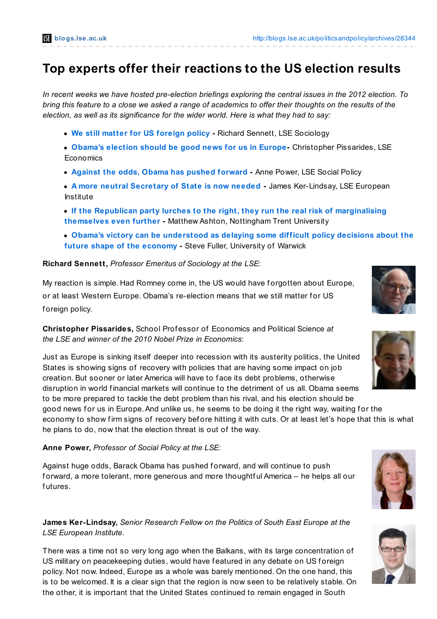# **Top experts offer their reactions to the US election results**

In recent weeks we have hosted pre-election briefings exploring the central issues in the 2012 election. To bring this feature to a close we asked a range of academics to offer their thoughts on the results of the *election, as well as its significance for the wider world. Here is what they had to say:*

- **We still matter for US [foreign](http://blogs.lse.ac.uk/politicsandpolicy/archives/28344#Sennett) policy -** Richard Sennett, LSE Sociology
- **[Obama's](http://blogs.lse.ac.uk/politicsandpolicy/archives/28344#Pissarides) election should be good news for us in Europe-** Christopher Pissarides, LSE **Economics**
- **Against the odds, Obama has pushed [forward](http://blogs.lse.ac.uk/politicsandpolicy/archives/28344#Power) -** Anne Power, LSE Social Policy
- **A more neutral [Secretary](http://blogs.lse.ac.uk/politicsandpolicy/archives/28344#KL) of State is now needed -** James Ker-Lindsay, LSE European Institute
- **If the Republican party lurches to the right, they run the real risk of [marginalising](http://blogs.lse.ac.uk/politicsandpolicy/archives/28344#Ashton) themselves even further -** Matthew Ashton, Nottingham Trent University
- **Obama's victory can be [understood](http://blogs.lse.ac.uk/politicsandpolicy/archives/28344#Fuller) as delaying some difficult policy decisions about the future shape of the economy -** Steve Fuller, University of Warwick

### **Richard Sennett,** *Professor Emeritus of Sociology at the LSE*:

My reaction is simple. Had Romney come in, the US would have forgotten about Europe, or at least Western Europe. Obama's re-election means that we still matter for US foreign policy.

**Christopher Pissarides,** School Prof essor of Economics and Political Science *at the LSE and winner of the 2010 Nobel Prize in Economics*:

Just as Europe is sinking itself deeper into recession with its austerity politics, the United States is showing signs of recovery with policies that are having some impact on job creation. But sooner or later America will have to f ace its debt problems, otherwise disruption in world financial markets will continue to the detriment of us all. Obama seems to be more prepared to tackle the debt problem than his rival, and his election should be good news for us in Europe. And unlike us, he seems to be doing it the right way, waiting for the economy to show firm signs of recovery before hitting it with cuts. Or at least let's hope that this is what he plans to do, now that the election threat is out of the way.

**Anne Power,** *Professor of Social Policy at the LSE:*

Against huge odds, Barack Obama has pushed forward, and will continue to push f orward, a more tolerant, more generous and more thoughtf ul America – he helps all our futures.

**James Ker-Lindsay,** *Senior Research Fellow on the Politics of South East Europe at the LSE European Institute*.

There was a time not so very long ago when the Balkans, with its large concentration of US military on peacekeeping duties, would have featured in any debate on US foreign policy. Not now. Indeed, Europe as a whole was barely mentioned. On the one hand, this is to be welcomed. It is a clear sign that the region is now seen to be relatively stable. On the other, it is important that the United States continued to remain engaged in South





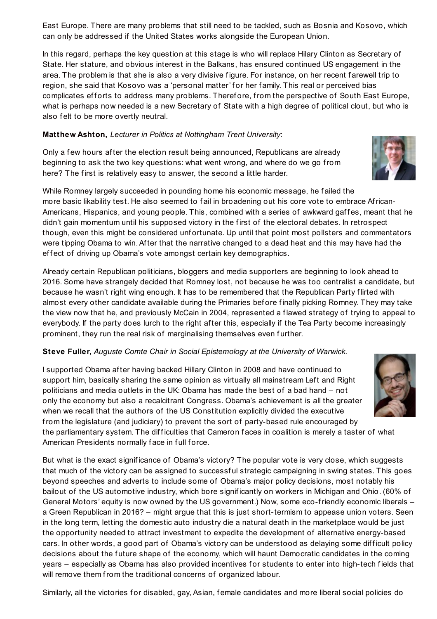East Europe. There are many problems that still need to be tackled, such as Bosnia and Kosovo, which can only be addressed if the United States works alongside the European Union.

In this regard, perhaps the key question at this stage is who will replace Hilary Clinton as Secretary of State. Her stature, and obvious interest in the Balkans, has ensured continued US engagement in the area. The problem is that she is also a very divisive figure. For instance, on her recent farewell trip to region, she said that Kosovo was a 'personal matter' for her family. This real or perceived bias complicates efforts to address many problems. Therefore, from the perspective of South East Europe, what is perhaps now needed is a new Secretary of State with a high degree of political clout, but who is also felt to be more overtly neutral.

### **Matthew Ashton,** *Lecturer in Politics at Nottingham Trent University*:

Only a f ew hours af ter the election result being announced, Republicans are already beginning to ask the two key questions: what went wrong, and where do we go from here? The first is relatively easy to answer, the second a little harder.

While Romney largely succeeded in pounding home his economic message, he f ailed the more basic likability test. He also seemed to f ail in broadening out his core vote to embrace African-Americans, Hispanics, and young people. This, combined with a series of awkward gaffes, meant that he didn't gain momentum until his supposed victory in the f irst of the electoral debates. In retrospect though, even this might be considered unf ortunate. Up until that point most pollsters and commentators were tipping Obama to win. After that the narrative changed to a dead heat and this may have had the effect of driving up Obama's vote amongst certain key demographics.

Already certain Republican politicians, bloggers and media supporters are beginning to look ahead to 2016. Some have strangely decided that Romney lost, not because he was too centralist a candidate, but because he wasn't right wing enough. It has to be remembered that the Republican Party f lirted with almost every other candidate available during the Primaries bef ore f inally picking Romney. They may take the view now that he, and previously McCain in 2004, represented a f lawed strategy of trying to appeal to everybody. If the party does lurch to the right af ter this, especially if the Tea Party become increasingly prominent, they run the real risk of marginalising themselves even further.

## **Steve Fuller,** *Auguste Comte Chair in Social Epistemology at the University of Warwick.*

I supported Obama af ter having backed Hillary Clinton in 2008 and have continued to support him, basically sharing the same opinion as virtually all mainstream Left and Right politicians and media outlets in the UK: Obama has made the best of a bad hand – not only the economy but also a recalcitrant Congress. Obama's achievement is all the greater when we recall that the authors of the US Constitution explicitly divided the executive from the legislature (and judiciary) to prevent the sort of party-based rule encouraged by the parliamentary system. The difficulties that Cameron faces in coalition is merely a taster of what American Presidents normally face in full force.

But what is the exact signif icance of Obama's victory? The popular vote is very close, which suggests that much of the victory can be assigned to successful strategic campaigning in swing states. This goes beyond speeches and adverts to include some of Obama's major policy decisions, most notably his bailout of the US automotive industry, which bore signif icantly on workers in Michigan and Ohio. (60% of General Motors' equity is now owned by the US government.) Now, some eco-friendly economic liberals – a Green Republican in 2016? – might argue that this is just short-termism to appease union voters. Seen in the long term, letting the domestic auto industry die a natural death in the marketplace would be just the opportunity needed to attract investment to expedite the development of alternative energy-based cars. In other words, a good part of Obama's victory can be understood as delaying some difficult policy decisions about the future shape of the economy, which will haunt Democratic candidates in the coming years – especially as Obama has also provided incentives for students to enter into high-tech fields that will remove them from the traditional concerns of organized labour.

Similarly, all the victories for disabled, gay, Asian, female candidates and more liberal social policies do